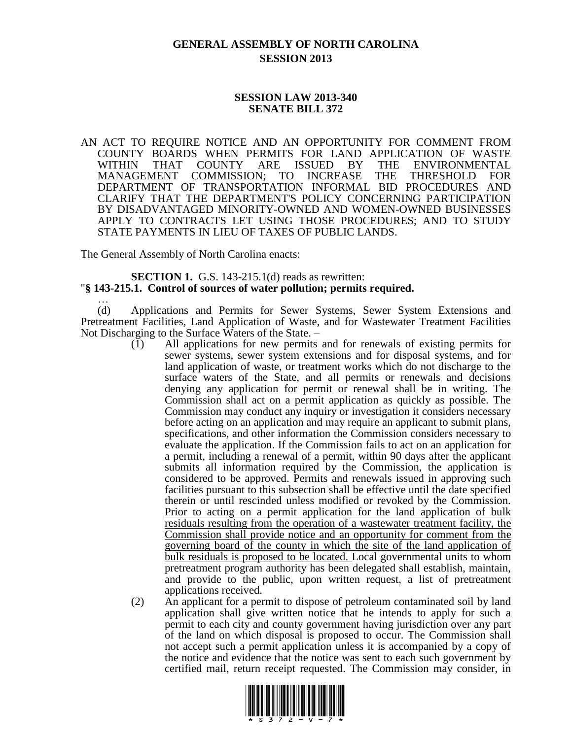## **GENERAL ASSEMBLY OF NORTH CAROLINA SESSION 2013**

## **SESSION LAW 2013-340 SENATE BILL 372**

AN ACT TO REQUIRE NOTICE AND AN OPPORTUNITY FOR COMMENT FROM COUNTY BOARDS WHEN PERMITS FOR LAND APPLICATION OF WASTE WITHIN THAT COUNTY ARE ISSUED BY THE ENVIRONMENTAL MANAGEMENT COMMISSION; TO INCREASE THE THRESHOLD FOR DEPARTMENT OF TRANSPORTATION INFORMAL BID PROCEDURES AND CLARIFY THAT THE DEPARTMENT'S POLICY CONCERNING PARTICIPATION BY DISADVANTAGED MINORITY-OWNED AND WOMEN-OWNED BUSINESSES APPLY TO CONTRACTS LET USING THOSE PROCEDURES; AND TO STUDY STATE PAYMENTS IN LIEU OF TAXES OF PUBLIC LANDS.

The General Assembly of North Carolina enacts:

## **SECTION 1.** G.S. 143-215.1(d) reads as rewritten: "**§ 143-215.1. Control of sources of water pollution; permits required.**

… (d) Applications and Permits for Sewer Systems, Sewer System Extensions and Pretreatment Facilities, Land Application of Waste, and for Wastewater Treatment Facilities Not Discharging to the Surface Waters of the State. –

- (1) All applications for new permits and for renewals of existing permits for sewer systems, sewer system extensions and for disposal systems, and for land application of waste, or treatment works which do not discharge to the surface waters of the State, and all permits or renewals and decisions denying any application for permit or renewal shall be in writing. The Commission shall act on a permit application as quickly as possible. The Commission may conduct any inquiry or investigation it considers necessary before acting on an application and may require an applicant to submit plans, specifications, and other information the Commission considers necessary to evaluate the application. If the Commission fails to act on an application for a permit, including a renewal of a permit, within 90 days after the applicant submits all information required by the Commission, the application is considered to be approved. Permits and renewals issued in approving such facilities pursuant to this subsection shall be effective until the date specified therein or until rescinded unless modified or revoked by the Commission. Prior to acting on a permit application for the land application of bulk residuals resulting from the operation of a wastewater treatment facility, the Commission shall provide notice and an opportunity for comment from the governing board of the county in which the site of the land application of bulk residuals is proposed to be located. Local governmental units to whom pretreatment program authority has been delegated shall establish, maintain, and provide to the public, upon written request, a list of pretreatment applications received.
- (2) An applicant for a permit to dispose of petroleum contaminated soil by land application shall give written notice that he intends to apply for such a permit to each city and county government having jurisdiction over any part of the land on which disposal is proposed to occur. The Commission shall not accept such a permit application unless it is accompanied by a copy of the notice and evidence that the notice was sent to each such government by certified mail, return receipt requested. The Commission may consider, in

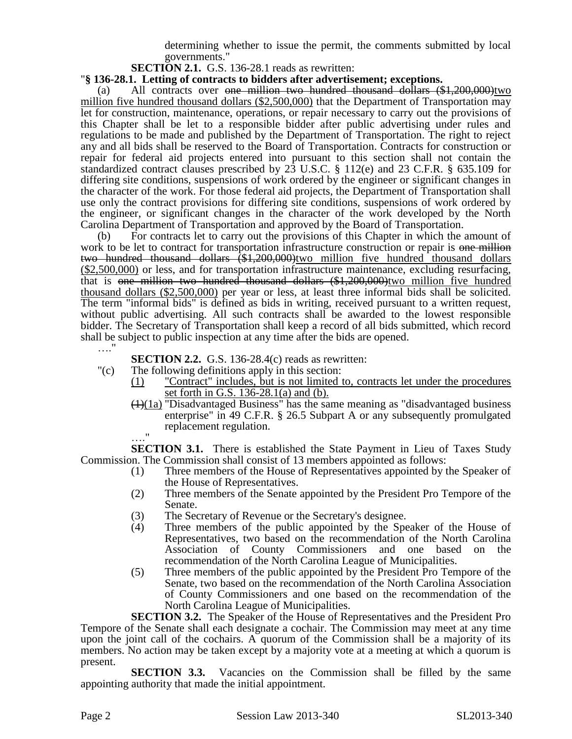determining whether to issue the permit, the comments submitted by local governments."

**SECTION 2.1.** G.S. 136-28.1 reads as rewritten:

## "**§ 136-28.1. Letting of contracts to bidders after advertisement; exceptions.**

(a) All contracts over <del>one million two hundred thousand dollars  $(\$1,200,000)$ </del>two million five hundred thousand dollars (\$2,500,000) that the Department of Transportation may let for construction, maintenance, operations, or repair necessary to carry out the provisions of this Chapter shall be let to a responsible bidder after public advertising under rules and regulations to be made and published by the Department of Transportation. The right to reject any and all bids shall be reserved to the Board of Transportation. Contracts for construction or repair for federal aid projects entered into pursuant to this section shall not contain the standardized contract clauses prescribed by 23 U.S.C. § 112(e) and 23 C.F.R. § 635.109 for differing site conditions, suspensions of work ordered by the engineer or significant changes in the character of the work. For those federal aid projects, the Department of Transportation shall use only the contract provisions for differing site conditions, suspensions of work ordered by the engineer, or significant changes in the character of the work developed by the North Carolina Department of Transportation and approved by the Board of Transportation.

(b) For contracts let to carry out the provisions of this Chapter in which the amount of work to be let to contract for transportation infrastructure construction or repair is one million two hundred thousand dollars (\$1,200,000)two million five hundred thousand dollars (\$2,500,000) or less, and for transportation infrastructure maintenance, excluding resurfacing, that is one million two hundred thousand dollars (\$1,200,000)two million five hundred thousand dollars (\$2,500,000) per year or less, at least three informal bids shall be solicited. The term "informal bids" is defined as bids in writing, received pursuant to a written request, without public advertising. All such contracts shall be awarded to the lowest responsible bidder. The Secretary of Transportation shall keep a record of all bids submitted, which record shall be subject to public inspection at any time after the bids are opened. …."

**SECTION 2.2.** G.S. 136-28.4(c) reads as rewritten:

- "(c) The following definitions apply in this section:
	- (1) "Contract" includes, but is not limited to, contracts let under the procedures set forth in G.S. 136-28.1(a) and (b).
	- $\left(\frac{1}{1a}\right)$  "Disadvantaged Business" has the same meaning as "disadvantaged business" enterprise" in 49 C.F.R. § 26.5 Subpart A or any subsequently promulgated replacement regulation.

…." **SECTION 3.1.** There is established the State Payment in Lieu of Taxes Study Commission. The Commission shall consist of 13 members appointed as follows:

- (1) Three members of the House of Representatives appointed by the Speaker of the House of Representatives.
- (2) Three members of the Senate appointed by the President Pro Tempore of the Senate.
- (3) The Secretary of Revenue or the Secretary's designee.
- (4) Three members of the public appointed by the Speaker of the House of Representatives, two based on the recommendation of the North Carolina Association of County Commissioners and one based on the recommendation of the North Carolina League of Municipalities.
- (5) Three members of the public appointed by the President Pro Tempore of the Senate, two based on the recommendation of the North Carolina Association of County Commissioners and one based on the recommendation of the North Carolina League of Municipalities.

**SECTION 3.2.** The Speaker of the House of Representatives and the President Pro Tempore of the Senate shall each designate a cochair. The Commission may meet at any time upon the joint call of the cochairs. A quorum of the Commission shall be a majority of its members. No action may be taken except by a majority vote at a meeting at which a quorum is present.

**SECTION 3.3.** Vacancies on the Commission shall be filled by the same appointing authority that made the initial appointment.